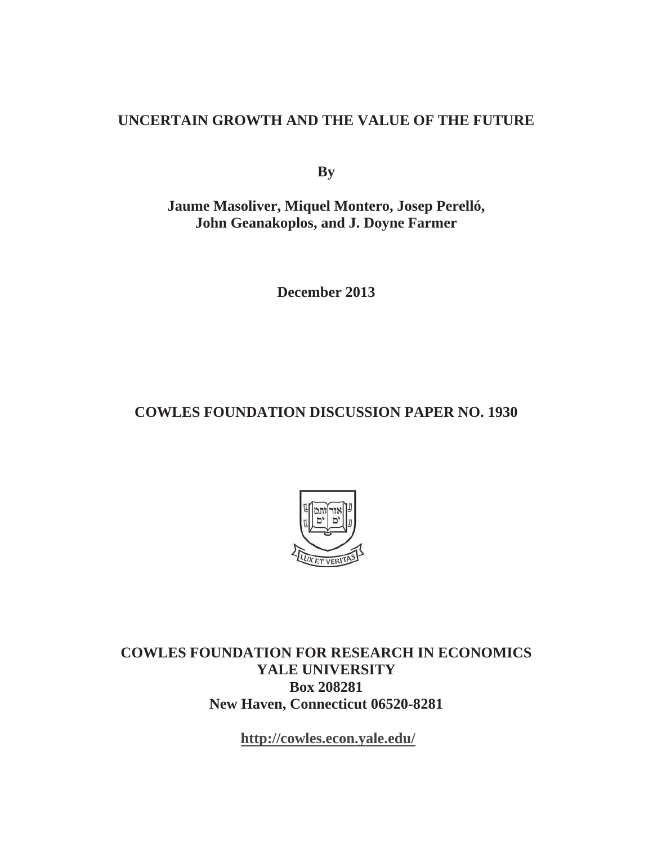## **UNCERTAIN GROWTH AND THE VALUE OF THE FUTURE**

**By**

**Jaume Masoliver, Miquel Montero, Josep Perelló, John Geanakoplos, and J. Doyne Farmer** 

**December 2013** 

# **COWLES FOUNDATION DISCUSSION PAPER NO. 1930**



**COWLES FOUNDATION FOR RESEARCH IN ECONOMICS YALE UNIVERSITY Box 208281 New Haven, Connecticut 06520-8281** 

**http://cowles.econ.yale.edu/**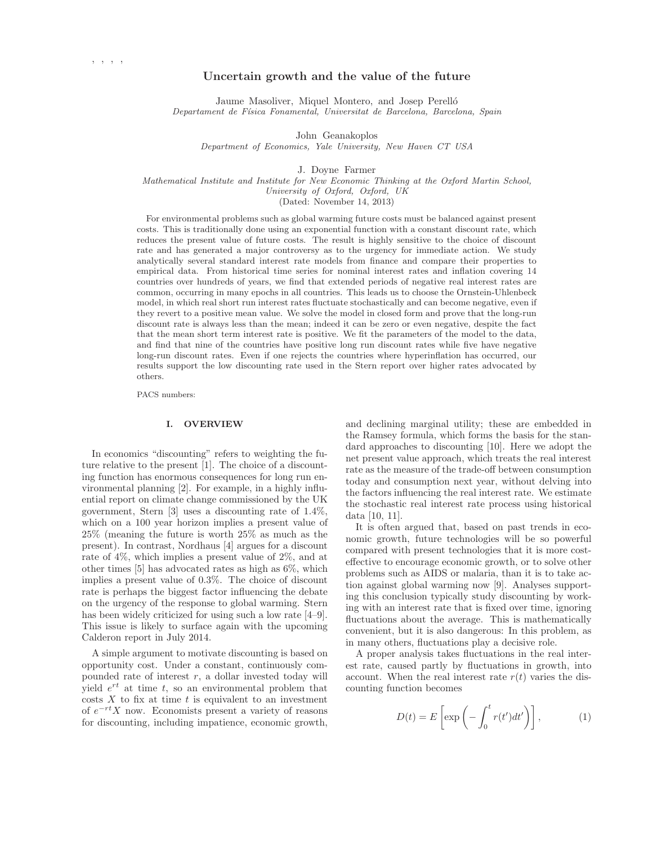## **Uncertain growth and the value of the future**

Jaume Masoliver, Miquel Montero, and Josep Perelló Departament de Física Fonamental, Universitat de Barcelona, Barcelona, Spain

John Geanakoplos

Department of Economics, Yale University, New Haven CT USA

J. Doyne Farmer

Mathematical Institute and Institute for New Economic Thinking at the Oxford Martin School, University of Oxford, Oxford, UK

(Dated: November 14, 2013)

For environmental problems such as global warming future costs must be balanced against present costs. This is traditionally done using an exponential function with a constant discount rate, which reduces the present value of future costs. The result is highly sensitive to the choice of discount rate and has generated a major controversy as to the urgency for immediate action. We study analytically several standard interest rate models from finance and compare their properties to empirical data. From historical time series for nominal interest rates and inflation covering 14 countries over hundreds of years, we find that extended periods of negative real interest rates are common, occurring in many epochs in all countries. This leads us to choose the Ornstein-Uhlenbeck model, in which real short run interest rates fluctuate stochastically and can become negative, even if they revert to a positive mean value. We solve the model in closed form and prove that the long-run discount rate is always less than the mean; indeed it can be zero or even negative, despite the fact that the mean short term interest rate is positive. We fit the parameters of the model to the data, and find that nine of the countries have positive long run discount rates while five have negative long-run discount rates. Even if one rejects the countries where hyperinflation has occurred, our results support the low discounting rate used in the Stern report over higher rates advocated by others.

PACS numbers:

## **I. OVERVIEW**

In economics "discounting" refers to weighting the future relative to the present [1]. The choice of a discounting function has enormous consequences for long run environmental planning [2]. For example, in a highly influential report on climate change commissioned by the UK government, Stern [3] uses a discounting rate of 1.4%, which on a 100 year horizon implies a present value of 25% (meaning the future is worth 25% as much as the present). In contrast, Nordhaus [4] argues for a discount rate of 4%, which implies a present value of 2%, and at other times [5] has advocated rates as high as 6%, which implies a present value of 0.3%. The choice of discount rate is perhaps the biggest factor influencing the debate on the urgency of the response to global warming. Stern has been widely criticized for using such a low rate [4–9]. This issue is likely to surface again with the upcoming Calderon report in July 2014.

A simple argument to motivate discounting is based on opportunity cost. Under a constant, continuously compounded rate of interest  $r$ , a dollar invested today will yield  $e^{rt}$  at time t, so an environmental problem that  $\cos s X$  to fix at time t is equivalent to an investment of  $e^{-rt}X$  now. Economists present a variety of reasons for discounting, including impatience, economic growth, and declining marginal utility; these are embedded in the Ramsey formula, which forms the basis for the standard approaches to discounting [10]. Here we adopt the net present value approach, which treats the real interest rate as the measure of the trade-off between consumption today and consumption next year, without delving into the factors influencing the real interest rate. We estimate the stochastic real interest rate process using historical data [10, 11].

It is often argued that, based on past trends in economic growth, future technologies will be so powerful compared with present technologies that it is more costeffective to encourage economic growth, or to solve other problems such as AIDS or malaria, than it is to take action against global warming now [9]. Analyses supporting this conclusion typically study discounting by working with an interest rate that is fixed over time, ignoring fluctuations about the average. This is mathematically convenient, but it is also dangerous: In this problem, as in many others, fluctuations play a decisive role.

A proper analysis takes fluctuations in the real interest rate, caused partly by fluctuations in growth, into account. When the real interest rate  $r(t)$  varies the discounting function becomes

$$
D(t) = E\left[\exp\left(-\int_0^t r(t')dt'\right)\right],\tag{1}
$$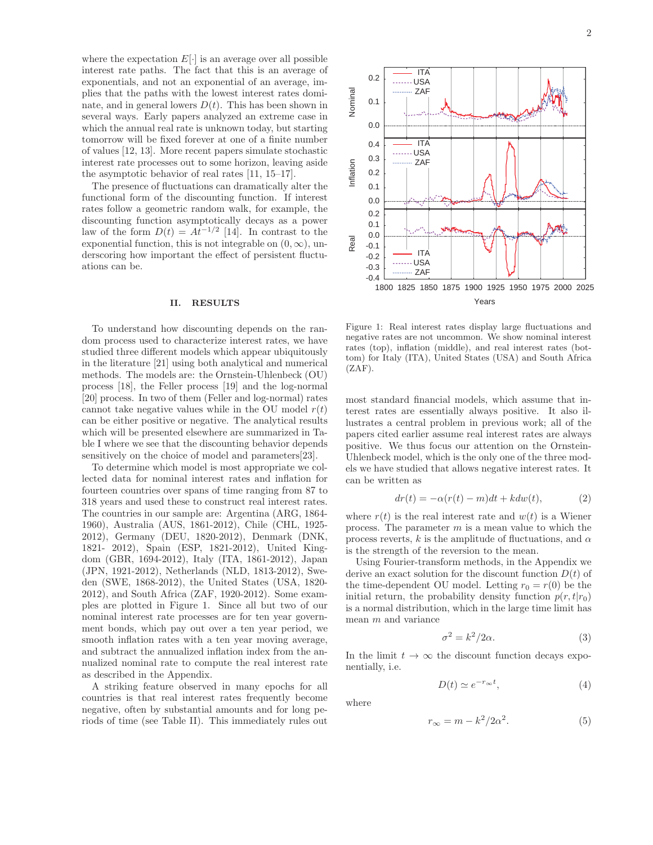where the expectation  $E[\cdot]$  is an average over all possible interest rate paths. The fact that this is an average of exponentials, and not an exponential of an average, implies that the paths with the lowest interest rates dominate, and in general lowers  $D(t)$ . This has been shown in several ways. Early papers analyzed an extreme case in which the annual real rate is unknown today, but starting tomorrow will be fixed forever at one of a finite number of values [12, 13]. More recent papers simulate stochastic interest rate processes out to some horizon, leaving aside the asymptotic behavior of real rates [11, 15–17].

The presence of fluctuations can dramatically alter the functional form of the discounting function. If interest rates follow a geometric random walk, for example, the discounting function asymptotically decays as a power law of the form  $D(t) = At^{-1/2}$  [14]. In contrast to the exponential function, this is not integrable on  $(0, \infty)$ , underscoring how important the effect of persistent fluctuations can be.

#### **II. RESULTS**

To understand how discounting depends on the random process used to characterize interest rates, we have studied three different models which appear ubiquitously in the literature [21] using both analytical and numerical methods. The models are: the Ornstein-Uhlenbeck (OU) process [18], the Feller process [19] and the log-normal [20] process. In two of them (Feller and log-normal) rates cannot take negative values while in the OU model  $r(t)$ can be either positive or negative. The analytical results which will be presented elsewhere are summarized in Table I where we see that the discounting behavior depends sensitively on the choice of model and parameters [23].

To determine which model is most appropriate we collected data for nominal interest rates and inflation for fourteen countries over spans of time ranging from 87 to 318 years and used these to construct real interest rates. The countries in our sample are: Argentina (ARG, 1864- 1960), Australia (AUS, 1861-2012), Chile (CHL, 1925- 2012), Germany (DEU, 1820-2012), Denmark (DNK, 1821- 2012), Spain (ESP, 1821-2012), United Kingdom (GBR, 1694-2012), Italy (ITA, 1861-2012), Japan (JPN, 1921-2012), Netherlands (NLD, 1813-2012), Sweden (SWE, 1868-2012), the United States (USA, 1820- 2012), and South Africa (ZAF, 1920-2012). Some examples are plotted in Figure 1. Since all but two of our nominal interest rate processes are for ten year government bonds, which pay out over a ten year period, we smooth inflation rates with a ten year moving average, and subtract the annualized inflation index from the annualized nominal rate to compute the real interest rate as described in the Appendix.

A striking feature observed in many epochs for all countries is that real interest rates frequently become negative, often by substantial amounts and for long periods of time (see Table II). This immediately rules out



2



Figure 1: Real interest rates display large fluctuations and negative rates are not uncommon. We show nominal interest rates (top), inflation (middle), and real interest rates (bottom) for Italy (ITA), United States (USA) and South Africa  $(ZAF)$ .

most standard financial models, which assume that interest rates are essentially always positive. It also illustrates a central problem in previous work; all of the papers cited earlier assume real interest rates are always positive. We thus focus our attention on the Ornstein-Uhlenbeck model, which is the only one of the three models we have studied that allows negative interest rates. It can be written as

$$
dr(t) = -\alpha(r(t) - m)dt + kdw(t), \qquad (2)
$$

where  $r(t)$  is the real interest rate and  $w(t)$  is a Wiener process. The parameter  $m$  is a mean value to which the process reverts, k is the amplitude of fluctuations, and  $\alpha$ is the strength of the reversion to the mean.

Using Fourier-transform methods, in the Appendix we derive an exact solution for the discount function  $D(t)$  of the time-dependent OU model. Letting  $r_0 = r(0)$  be the initial return, the probability density function  $p(r, t|r_0)$ is a normal distribution, which in the large time limit has mean m and variance

$$
\sigma^2 = k^2 / 2\alpha. \tag{3}
$$

In the limit  $t \to \infty$  the discount function decays exponentially, i.e.

$$
D(t) \simeq e^{-r_{\infty}t},\tag{4}
$$

where

$$
r_{\infty} = m - k^2 / 2\alpha^2.
$$
 (5)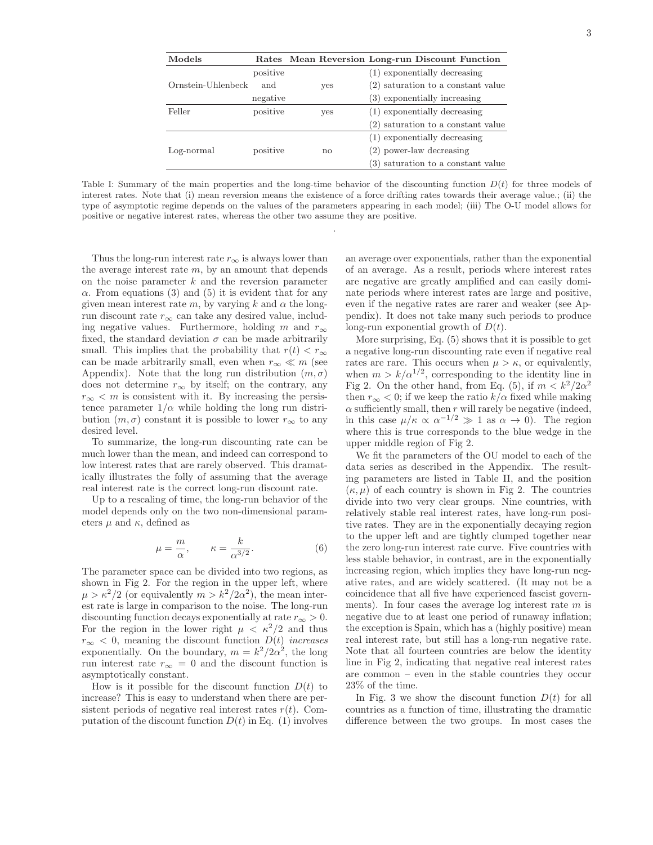| Models             |          |     | Rates Mean Reversion Long-run Discount Function |
|--------------------|----------|-----|-------------------------------------------------|
|                    | positive |     | (1) exponentially decreasing                    |
| Ornstein-Uhlenbeck | and      | yes | (2) saturation to a constant value              |
|                    | negative |     | (3) exponentially increasing                    |
| Feller             | positive | yes | (1) exponentially decreasing                    |
|                    |          |     | (2) saturation to a constant value              |
|                    |          |     | (1) exponentially decreasing                    |
| Log-normal         | positive | no  | $(2)$ power-law decreasing                      |
|                    |          |     | (3) saturation to a constant value              |

Table I: Summary of the main properties and the long-time behavior of the discounting function  $D(t)$  for three models of interest rates. Note that (i) mean reversion means the existence of a force drifting rates towards their average value.; (ii) the type of asymptotic regime depends on the values of the parameters appearing in each model; (iii) The O-U model allows for positive or negative interest rates, whereas the other two assume they are positive.

.

Thus the long-run interest rate  $r_{\infty}$  is always lower than the average interest rate  $m$ , by an amount that depends on the noise parameter  $k$  and the reversion parameter  $\alpha$ . From equations (3) and (5) it is evident that for any given mean interest rate m, by varying k and  $\alpha$  the longrun discount rate $r_{\infty}$  can take any desired value, including negative values. Furthermore, holding m and  $r_{\infty}$ fixed, the standard deviation  $\sigma$  can be made arbitrarily small. This implies that the probability that  $r(t) < r_{\infty}$ can be made arbitrarily small, even when  $r_{\infty} \ll m$  (see Appendix). Note that the long run distribution  $(m, \sigma)$ does not determine  $r_{\infty}$  by itself; on the contrary, any  $r_{\infty}$  < m is consistent with it. By increasing the persistence parameter  $1/\alpha$  while holding the long run distribution  $(m, \sigma)$  constant it is possible to lower  $r_{\infty}$  to any desired level.

To summarize, the long-run discounting rate can be much lower than the mean, and indeed can correspond to low interest rates that are rarely observed. This dramatically illustrates the folly of assuming that the average real interest rate is the correct long-run discount rate.

Up to a rescaling of time, the long-run behavior of the model depends only on the two non-dimensional parameters  $\mu$  and  $\kappa$ , defined as

$$
\mu = \frac{m}{\alpha}, \qquad \kappa = \frac{k}{\alpha^{3/2}}.\tag{6}
$$

The parameter space can be divided into two regions, as shown in Fig 2. For the region in the upper left, where  $\mu > \kappa^2/2$  (or equivalently  $m > k^2/2\alpha^2$ ), the mean interest rate is large in comparison to the noise. The long-run discounting function decays exponentially at rate  $r_{\infty} > 0$ . For the region in the lower right  $\mu < \kappa^2/2$  and thus  $r_{\infty}$  < 0, meaning the discount function  $D(t)$  increases exponentially. On the boundary,  $m = k^2/2\alpha^2$ , the long run interest rate  $r_{\infty} = 0$  and the discount function is asymptotically constant.

How is it possible for the discount function  $D(t)$  to increase? This is easy to understand when there are persistent periods of negative real interest rates  $r(t)$ . Computation of the discount function  $D(t)$  in Eq. (1) involves an average over exponentials, rather than the exponential of an average. As a result, periods where interest rates are negative are greatly amplified and can easily dominate periods where interest rates are large and positive, even if the negative rates are rarer and weaker (see Appendix). It does not take many such periods to produce long-run exponential growth of  $D(t)$ .

More surprising, Eq. (5) shows that it is possible to get a negative long-run discounting rate even if negative real rates are rare. This occurs when  $\mu > \kappa$ , or equivalently, when  $m > k/\alpha^{1/2}$ , corresponding to the identity line in Fig 2. On the other hand, from Eq. (5), if  $m < k^2/2a^2$ then  $r_{\infty}$  < 0; if we keep the ratio  $k/\alpha$  fixed while making  $\alpha$  sufficiently small, then r will rarely be negative (indeed, in this case  $\mu/\kappa \propto \alpha^{-1/2} \gg 1$  as  $\alpha \to 0$ ). The region where this is true corresponds to the blue wedge in the upper middle region of Fig 2.

We fit the parameters of the OU model to each of the data series as described in the Appendix. The resulting parameters are listed in Table II, and the position  $(\kappa, \mu)$  of each country is shown in Fig 2. The countries divide into two very clear groups. Nine countries, with relatively stable real interest rates, have long-run positive rates. They are in the exponentially decaying region to the upper left and are tightly clumped together near the zero long-run interest rate curve. Five countries with less stable behavior, in contrast, are in the exponentially increasing region, which implies they have long-run negative rates, and are widely scattered. (It may not be a coincidence that all five have experienced fascist governments). In four cases the average log interest rate  $m$  is negative due to at least one period of runaway inflation; the exception is Spain, which has a (highly positive) mean real interest rate, but still has a long-run negative rate. Note that all fourteen countries are below the identity line in Fig 2, indicating that negative real interest rates are common – even in the stable countries they occur 23% of the time.

In Fig. 3 we show the discount function  $D(t)$  for all countries as a function of time, illustrating the dramatic difference between the two groups. In most cases the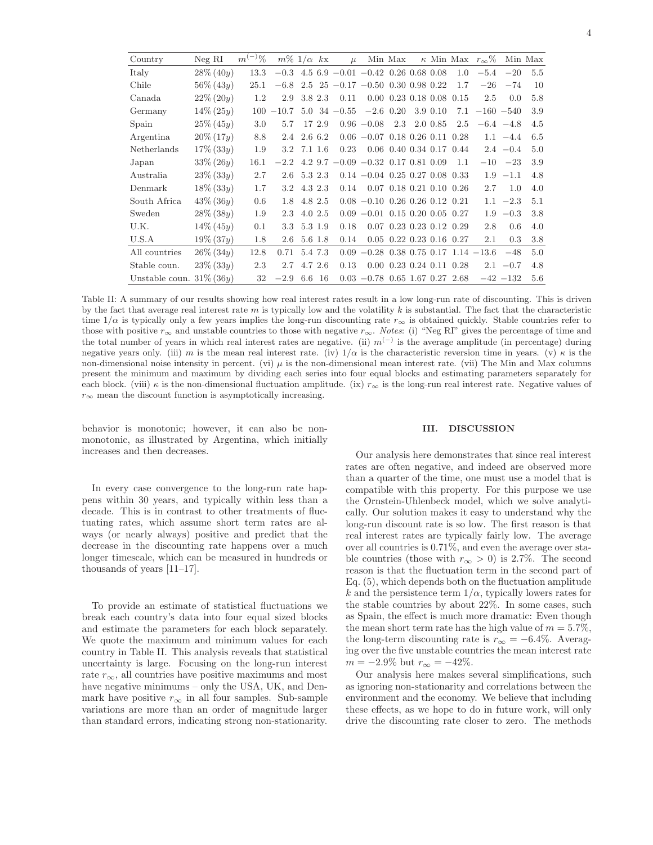|  | I |  |  |
|--|---|--|--|
|  |   |  |  |

| Country                     | $Neg$ RI     | $m^{(-)}%$ | $m\%$ 1/ $\alpha$ kx |             |        | $\mu$                                         |                                           | Min Max                     |          |                                        | $\kappa$ Min Max $r_{\infty}\%$           |              | Min Max |
|-----------------------------|--------------|------------|----------------------|-------------|--------|-----------------------------------------------|-------------------------------------------|-----------------------------|----------|----------------------------------------|-------------------------------------------|--------------|---------|
| Italy                       | $28\% (40y)$ | 13.3       |                      |             |        | $-0.3$ 4.5 6.9 $-0.01$ $-0.42$ 0.26 0.68 0.08 |                                           |                             |          | 1.0                                    | $-5.4$                                    | $-20$        | 5.5     |
| Chile                       | $56\% (43y)$ | 25.1       | $-6.8$               |             |        | $2.5 \t25 -0.17 -0.50 \t0.30 \t0.98 \t0.22$   |                                           |                             |          | 1.7                                    | $-26$                                     | $-74$        | 10      |
| Canada                      | $22\% (20y)$ | 1.2        | 2.9                  | 3.8 2.3     |        | 0.11                                          |                                           | $0.00 \t0.23 \t0.18 \t0.08$ |          | 0.15                                   | 2.5                                       | 0.0          | 5.8     |
| Germany                     | $14\% (25y)$ | 100        | $-10.7$              |             |        | $5.0 \text{ } 34 \text{ } -0.55$              | $-2.6$ 0.20                               |                             | 3.9 0.10 | 7.1                                    | $-160 -540$                               |              | 3.9     |
| Spain                       | $25\% (45y)$ | 3.0        | 5.7                  |             | 17 2.9 |                                               | $0.96 - 0.08$                             | 2.3                         | 2.0 0.85 | 2.5                                    |                                           | $-6.4 -4.8$  | 4.5     |
| Argentina                   | $20\% (17y)$ | 8.8        | 2.4                  | 2.6 6.2     |        |                                               | $0.06 - 0.07$ 0.18 0.26 0.11 0.28         |                             |          |                                        |                                           | $1.1 -4.4$   | 6.5     |
| Netherlands                 | $17\%$ (33y) | 1.9        |                      | 3.2 7.1 1.6 |        | 0.23                                          |                                           |                             |          | $0.06$ 0.40 0.34 0.17 0.44             |                                           | $2.4 -0.4$   | 5.0     |
| Japan                       | $33\% (26y)$ | 16.1       | $-2.2$ 4.2 9.7       |             |        | $-0.09 - 0.32 0.17 0.81 0.09$                 |                                           |                             |          | 1.1                                    |                                           | $-10 -23$    | 3.9     |
| Australia                   | $23\% (33y)$ | 2.7        |                      | 2.6 5.3 2.3 |        |                                               | $0.14 - 0.04$ $0.25$ $0.27$ $0.08$ $0.33$ |                             |          |                                        |                                           | $1.9 - 1.1$  | 4.8     |
| Denmark                     | $18\% (33y)$ | 1.7        |                      | 3.2 4.3 2.3 |        | 0.14                                          | $0.07$ 0.18 0.21 0.10 0.26                |                             |          |                                        | 2.7                                       | 1.0          | 4.0     |
| South Africa                | $43\% (36y)$ | 0.6        |                      | 1.8 4.8 2.5 |        |                                               | $0.08 - 0.10$ $0.26$ $0.26$ $0.12$ $0.21$ |                             |          |                                        |                                           | $1.1 -2.3$   | 5.1     |
| Sweden                      | $28\% (38y)$ | 1.9        |                      | 2.3 4.0 2.5 |        |                                               | $0.09 - 0.01$ $0.15$ $0.20$ $0.05$ $0.27$ |                             |          |                                        |                                           | $1.9 - 0.3$  | 3.8     |
| U.K.                        | $14\% (45y)$ | 0.1        |                      | 3.3 5.3 1.9 |        | 0.18                                          |                                           |                             |          | $0.07$ $0.23$ $0.23$ $0.12$ $0.29$     | 2.8                                       | 0.6          | 4.0     |
| U.S.A                       | $19\% (37y)$ | 1.8        |                      | 2.6 5.6 1.8 |        | 0.14                                          |                                           |                             |          | $0.05$ $0.22$ $0.23$ $0.16$ $0.27$     | $2.1\,$                                   | 0.3          | 3.8     |
| All countries               | $26\% (34y)$ | 12.8       | 0.71                 | 5.4 7.3     |        |                                               |                                           |                             |          |                                        | $0.09 - 0.28$ 0.38 0.75 0.17 1.14 $-13.6$ | $-48$        | 5.0     |
| Stable coun.                | $23\% (33y)$ | 2.3        | $2.7^{\circ}$        | 4.7 2.6     |        | 0.13                                          |                                           |                             |          | $0.00 \t 0.23 \t 0.24 \t 0.11 \t 0.28$ |                                           | $2.1 -0.7$   | 4.8     |
| Unstable coun. $31\%$ (36y) |              | 32         | $-2.9$               | 6.6         | -16    |                                               | $0.03 -0.78$ 0.65 1.67 0.27 2.68          |                             |          |                                        |                                           | $-42$ $-132$ | 5.6     |

Table II: A summary of our results showing how real interest rates result in a low long-run rate of discounting. This is driven by the fact that average real interest rate m is typically low and the volatility k is substantial. The fact that the characteristic time  $1/\alpha$  is typically only a few years implies the long-run discounting rate  $r_{\infty}$  is obtained quickly. Stable countries refer to those with positive  $r_{\infty}$  and unstable countries to those with negative  $r_{\infty}$ . Notes: (i) "Neg RI" gives the percentage of time and the total number of years in which real interest rates are negative. (ii)  $m^{(-)}$  is the average amplitude (in percentage) during negative years only. (iii) m is the mean real interest rate. (iv)  $1/\alpha$  is the characteristic reversion time in years. (v)  $\kappa$  is the non-dimensional noise intensity in percent. (vi)  $\mu$  is the non-dimensional mean interest rate. (vii) The Min and Max columns present the minimum and maximum by dividing each series into four equal blocks and estimating parameters separately for each block. (viii)  $\kappa$  is the non-dimensional fluctuation amplitude. (ix)  $r_{\infty}$  is the long-run real interest rate. Negative values of  $r_{\infty}$  mean the discount function is asymptotically increasing.

behavior is monotonic; however, it can also be nonmonotonic, as illustrated by Argentina, which initially increases and then decreases.

In every case convergence to the long-run rate happens within 30 years, and typically within less than a decade. This is in contrast to other treatments of fluctuating rates, which assume short term rates are always (or nearly always) positive and predict that the decrease in the discounting rate happens over a much longer timescale, which can be measured in hundreds or thousands of years [11–17].

To provide an estimate of statistical fluctuations we break each country's data into four equal sized blocks and estimate the parameters for each block separately. We quote the maximum and minimum values for each country in Table II. This analysis reveals that statistical uncertainty is large. Focusing on the long-run interest rate  $r_{\infty}$ , all countries have positive maximums and most have negative minimums – only the USA, UK, and Denmark have positive  $r_{\infty}$  in all four samples. Sub-sample variations are more than an order of magnitude larger than standard errors, indicating strong non-stationarity.

### **III. DISCUSSION**

Our analysis here demonstrates that since real interest rates are often negative, and indeed are observed more than a quarter of the time, one must use a model that is compatible with this property. For this purpose we use the Ornstein-Uhlenbeck model, which we solve analytically. Our solution makes it easy to understand why the long-run discount rate is so low. The first reason is that real interest rates are typically fairly low. The average over all countries is 0.71%, and even the average over stable countries (those with  $r_{\infty} > 0$ ) is 2.7%. The second reason is that the fluctuation term in the second part of Eq. (5), which depends both on the fluctuation amplitude k and the persistence term  $1/\alpha$ , typically lowers rates for the stable countries by about 22%. In some cases, such as Spain, the effect is much more dramatic: Even though the mean short term rate has the high value of  $m = 5.7\%,$ the long-term discounting rate is  $r_{\infty} = -6.4\%$ . Averaging over the five unstable countries the mean interest rate  $m = -2.9\%$  but  $r_{\infty} = -42\%.$ 

Our analysis here makes several simplifications, such as ignoring non-stationarity and correlations between the environment and the economy. We believe that including these effects, as we hope to do in future work, will only drive the discounting rate closer to zero. The methods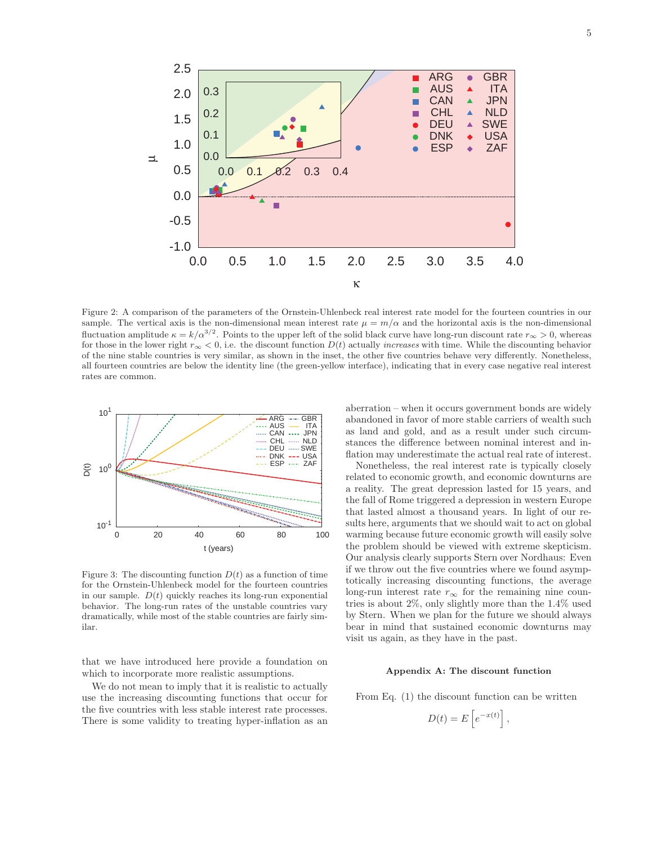

Figure 2: A comparison of the parameters of the Ornstein-Uhlenbeck real interest rate model for the fourteen countries in our sample. The vertical axis is the non-dimensional mean interest rate  $\mu = m/\alpha$  and the horizontal axis is the non-dimensional fluctuation amplitude  $\kappa = k/\alpha^{3/2}$ . Points to the upper left of the solid black curve have long-run discount rate  $r_{\infty} > 0$ , whereas for those in the lower right  $r_{\infty} < 0$ , i.e. the discount function  $D(t)$  actually *increases* with time. While the discounting behavior of the nine stable countries is very similar, as shown in the inset, the other five countries behave very differently. Nonetheless, all fourteen countries are below the identity line (the green-yellow interface), indicating that in every case negative real interest rates are common.



Figure 3: The discounting function  $D(t)$  as a function of time for the Ornstein-Uhlenbeck model for the fourteen countries in our sample.  $D(t)$  quickly reaches its long-run exponential behavior. The long-run rates of the unstable countries vary dramatically, while most of the stable countries are fairly similar.

that we have introduced here provide a foundation on which to incorporate more realistic assumptions.

We do not mean to imply that it is realistic to actually use the increasing discounting functions that occur for the five countries with less stable interest rate processes. There is some validity to treating hyper-inflation as an aberration – when it occurs government bonds are widely abandoned in favor of more stable carriers of wealth such as land and gold, and as a result under such circumstances the difference between nominal interest and inflation may underestimate the actual real rate of interest.

Nonetheless, the real interest rate is typically closely related to economic growth, and economic downturns are a reality. The great depression lasted for 15 years, and the fall of Rome triggered a depression in western Europe that lasted almost a thousand years. In light of our results here, arguments that we should wait to act on global warming because future economic growth will easily solve the problem should be viewed with extreme skepticism. Our analysis clearly supports Stern over Nordhaus: Even if we throw out the five countries where we found asymptotically increasing discounting functions, the average long-run interest rate  $r_{\infty}$  for the remaining nine countries is about 2%, only slightly more than the 1.4% used by Stern. When we plan for the future we should always bear in mind that sustained economic downturns may visit us again, as they have in the past.

### **Appendix A: The discount function**

From Eq. (1) the discount function can be written

$$
D(t) = E\left[e^{-x(t)}\right],
$$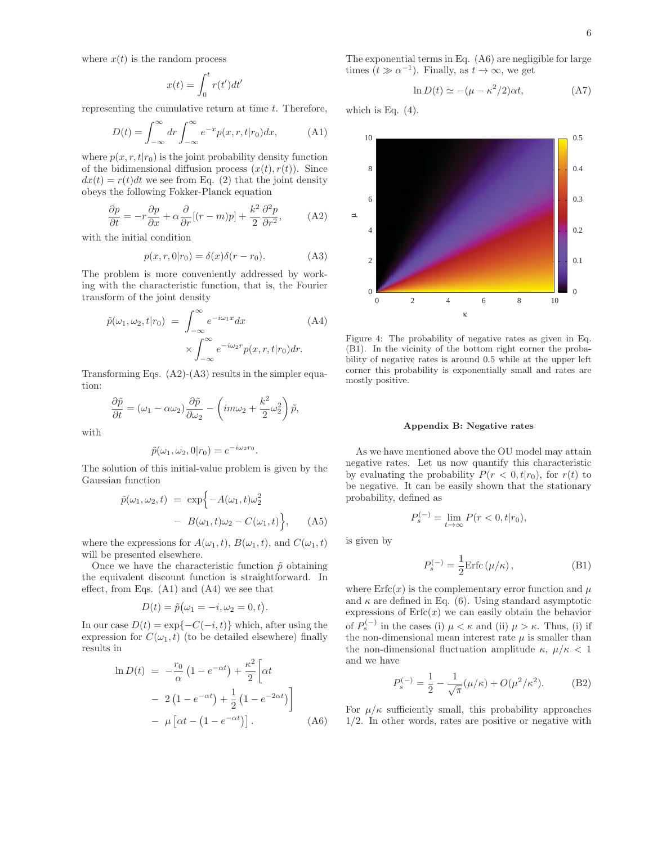where  $x(t)$  is the random process

$$
x(t) = \int_0^t r(t')dt'
$$

representing the cumulative return at time  $t$ . Therefore,

$$
D(t) = \int_{-\infty}^{\infty} dr \int_{-\infty}^{\infty} e^{-x} p(x, r, t | r_0) dx,
$$
 (A1)

where  $p(x, r, t|r_0)$  is the joint probability density function of the bidimensional diffusion process  $(x(t), r(t))$ . Since  $dx(t) = r(t)dt$  we see from Eq. (2) that the joint density obeys the following Fokker-Planck equation

$$
\frac{\partial p}{\partial t} = -r \frac{\partial p}{\partial x} + \alpha \frac{\partial}{\partial r} [(r - m)p] + \frac{k^2}{2} \frac{\partial^2 p}{\partial r^2}, \quad (A2)
$$

with the initial condition

$$
p(x, r, 0|r_0) = \delta(x)\delta(r - r_0).
$$
 (A3)

The problem is more conveniently addressed by working with the characteristic function, that is, the Fourier transform of the joint density

$$
\tilde{p}(\omega_1, \omega_2, t | r_0) = \int_{-\infty}^{\infty} e^{-i\omega_1 x} dx \qquad (A4)
$$
\n
$$
\times \int_{-\infty}^{\infty} e^{-i\omega_2 r} p(x, r, t | r_0) dr.
$$

Transforming Eqs.  $(A2)-(A3)$  results in the simpler equation:

$$
\frac{\partial \tilde{p}}{\partial t} = (\omega_1 - \alpha \omega_2) \frac{\partial \tilde{p}}{\partial \omega_2} - \left( im\omega_2 + \frac{k^2}{2} \omega_2^2 \right) \tilde{p},
$$

with

$$
\tilde{p}(\omega_1, \omega_2, 0 | r_0) = e^{-i\omega_2 r_0}.
$$

The solution of this initial-value problem is given by the Gaussian function

$$
\tilde{p}(\omega_1, \omega_2, t) = \exp\{-A(\omega_1, t)\omega_2^2 - B(\omega_1, t)\omega_2 - C(\omega_1, t)\}, \quad (A5)
$$

where the expressions for  $A(\omega_1, t)$ ,  $B(\omega_1, t)$ , and  $C(\omega_1, t)$ will be presented elsewhere.

Once we have the characteristic function  $\tilde{p}$  obtaining the equivalent discount function is straightforward. In effect, from Eqs. (A1) and (A4) we see that

$$
D(t)=\tilde{p}\big(\omega_1=-i,\omega_2=0,t\big).
$$

In our case  $D(t) = \exp\{-C(-i, t)\}\$  which, after using the expression for  $C(\omega_1, t)$  (to be detailed elsewhere) finally results in

$$
\ln D(t) = -\frac{r_0}{\alpha} \left( 1 - e^{-\alpha t} \right) + \frac{\kappa^2}{2} \left[ \alpha t
$$

$$
- 2 \left( 1 - e^{-\alpha t} \right) + \frac{1}{2} \left( 1 - e^{-2\alpha t} \right) \right]
$$

$$
- \mu \left[ \alpha t - \left( 1 - e^{-\alpha t} \right) \right]. \tag{A6}
$$

The exponential terms in Eq. (A6) are negligible for large times  $(t \gg \alpha^{-1})$ . Finally, as  $t \to \infty$ , we get

$$
\ln D(t) \simeq -(\mu - \kappa^2/2)\alpha t,\tag{A7}
$$

which is Eq.  $(4)$ .



Figure 4: The probability of negative rates as given in Eq. (B1). In the vicinity of the bottom right corner the probability of negative rates is around 0.5 while at the upper left corner this probability is exponentially small and rates are mostly positive.

#### **Appendix B: Negative rates**

As we have mentioned above the OU model may attain negative rates. Let us now quantify this characteristic by evaluating the probability  $P(r < 0, t | r_0)$ , for  $r(t)$  to be negative. It can be easily shown that the stationary probability, defined as

$$
P_s^{(-)} = \lim_{t \to \infty} P(r < 0, t | r_0),
$$

is given by

$$
P_s^{(-)} = \frac{1}{2} \text{Erfc} \left( \mu/\kappa \right),\tag{B1}
$$

where  $\text{Erfc}(x)$  is the complementary error function and  $\mu$ and  $\kappa$  are defined in Eq. (6). Using standard asymptotic expressions of  $Erfc(x)$  we can easily obtain the behavior of  $P_s^{(-)}$  in the cases (i)  $\mu < \kappa$  and (ii)  $\mu > \kappa$ . Thus, (i) if the non-dimensional mean interest rate  $\mu$  is smaller than the non-dimensional fluctuation amplitude  $\kappa$ ,  $\mu/\kappa < 1$ and we have

$$
P_s^{(-)} = \frac{1}{2} - \frac{1}{\sqrt{\pi}} (\mu/\kappa) + O(\mu^2/\kappa^2). \tag{B2}
$$

For  $\mu/\kappa$  sufficiently small, this probability approaches 1/2. In other words, rates are positive or negative with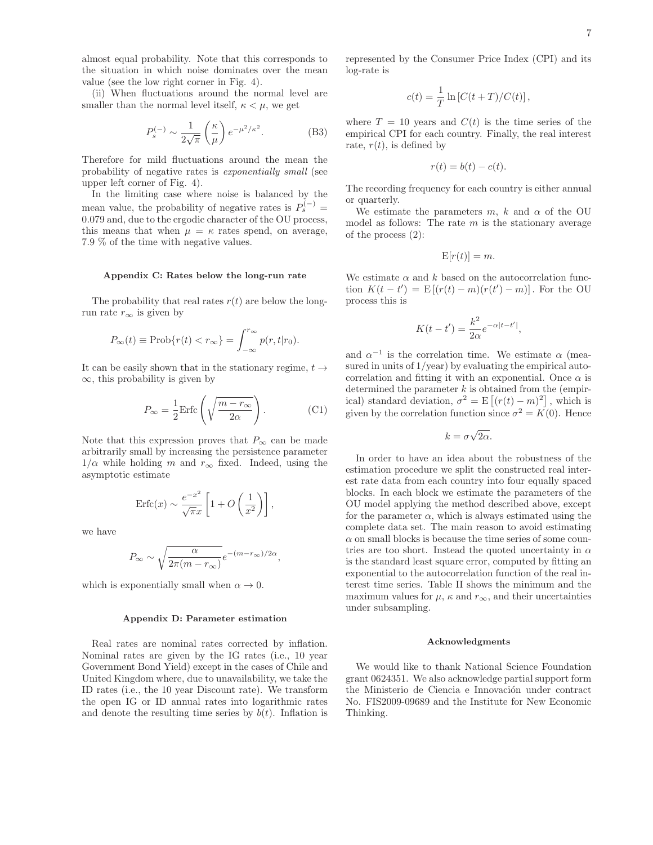almost equal probability. Note that this corresponds to the situation in which noise dominates over the mean value (see the low right corner in Fig. 4).

(ii) When fluctuations around the normal level are smaller than the normal level itself,  $\kappa < \mu$ , we get

$$
P_s^{(-)} \sim \frac{1}{2\sqrt{\pi}} \left(\frac{\kappa}{\mu}\right) e^{-\mu^2/\kappa^2}.
$$
 (B3)

Therefore for mild fluctuations around the mean the probability of negative rates is exponentially small (see upper left corner of Fig. 4).

In the limiting case where noise is balanced by the mean value, the probability of negative rates is  $P_s^{(-)}$  = 0.079 and, due to the ergodic character of the OU process, this means that when  $\mu = \kappa$  rates spend, on average, 7.9 % of the time with negative values.

#### **Appendix C: Rates below the long-run rate**

The probability that real rates  $r(t)$  are below the longrun rate  $r_{\infty}$  is given by

$$
P_{\infty}(t) \equiv \text{Prob}\{r(t) < r_{\infty}\} = \int_{-\infty}^{r_{\infty}} p(r, t | r_0).
$$

It can be easily shown that in the stationary regime,  $t \rightarrow$  $\infty$ , this probability is given by

$$
P_{\infty} = \frac{1}{2} \text{Erfc} \left( \sqrt{\frac{m - r_{\infty}}{2\alpha}} \right). \tag{C1}
$$

Note that this expression proves that  $P_{\infty}$  can be made arbitrarily small by increasing the persistence parameter  $1/\alpha$  while holding m and  $r_{\infty}$  fixed. Indeed, using the asymptotic estimate

$$
\operatorname{Erfc}(x) \sim \frac{e^{-x^2}}{\sqrt{\pi}x} \left[ 1 + O\left(\frac{1}{x^2}\right) \right],
$$

we have

$$
P_{\infty} \sim \sqrt{\frac{\alpha}{2\pi (m - r_{\infty})}} e^{-(m - r_{\infty})/2\alpha},
$$

which is exponentially small when  $\alpha \to 0$ .

#### **Appendix D: Parameter estimation**

Real rates are nominal rates corrected by inflation. Nominal rates are given by the IG rates (i.e., 10 year Government Bond Yield) except in the cases of Chile and United Kingdom where, due to unavailability, we take the ID rates (i.e., the 10 year Discount rate). We transform the open IG or ID annual rates into logarithmic rates and denote the resulting time series by  $b(t)$ . Inflation is represented by the Consumer Price Index (CPI) and its log-rate is

$$
c(t) = \frac{1}{T} \ln \left[ C(t+T)/C(t) \right],
$$

where  $T = 10$  years and  $C(t)$  is the time series of the empirical CPI for each country. Finally, the real interest rate,  $r(t)$ , is defined by

$$
r(t) = b(t) - c(t).
$$

The recording frequency for each country is either annual or quarterly.

We estimate the parameters m, k and  $\alpha$  of the OU model as follows: The rate  $m$  is the stationary average of the process (2):

$$
E[r(t)] = m.
$$

We estimate  $\alpha$  and k based on the autocorrelation function  $K(t - t') = E[(r(t) - m)(r(t') - m)]$ . For the OU process this is

$$
K(t-t') = \frac{k^2}{2\alpha}e^{-\alpha|t-t'|},
$$

and  $\alpha^{-1}$  is the correlation time. We estimate  $\alpha$  (measured in units of 1/year) by evaluating the empirical autocorrelation and fitting it with an exponential. Once  $\alpha$  is determined the parameter  $k$  is obtained from the (empirical) standard deviation,  $\sigma^2 = E\left[ (r(t) - m)^2 \right]$ , which is given by the correlation function since  $\sigma^2 = K(0)$ . Hence

$$
k = \sigma \sqrt{2\alpha}.
$$

In order to have an idea about the robustness of the estimation procedure we split the constructed real interest rate data from each country into four equally spaced blocks. In each block we estimate the parameters of the OU model applying the method described above, except for the parameter  $\alpha$ , which is always estimated using the complete data set. The main reason to avoid estimating  $\alpha$  on small blocks is because the time series of some countries are too short. Instead the quoted uncertainty in  $\alpha$ is the standard least square error, computed by fitting an exponential to the autocorrelation function of the real interest time series. Table II shows the minimum and the maximum values for  $\mu$ ,  $\kappa$  and  $r_{\infty}$ , and their uncertainties under subsampling.

#### **Acknowledgments**

We would like to thank National Science Foundation grant 0624351. We also acknowledge partial support form the Ministerio de Ciencia e Innovación under contract No. FIS2009-09689 and the Institute for New Economic Thinking.